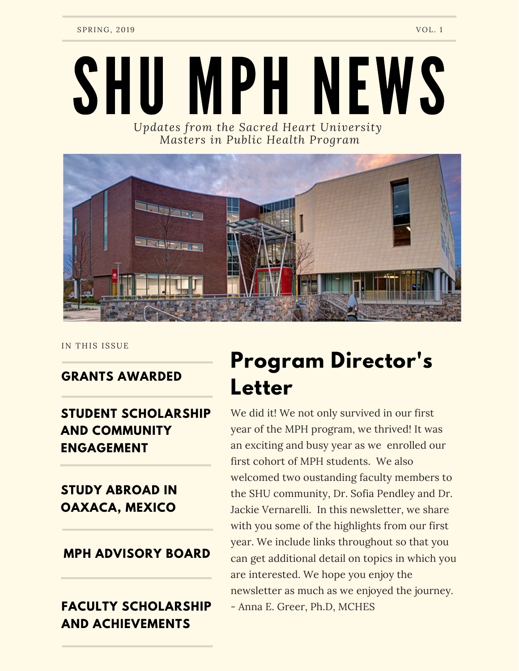# *Updates from the Sacred Heart University* SHU MPH NEWS

 *Masters in Public Health Program*



IN THIS ISSUE

#### **GRANTS AWARDED**

#### **STUDENT SCHOLARSHIP AND COMMUNITY ENGAGEMENT**

#### **STUDY ABROAD IN OAXACA, MEXICO**

#### **MPH ADVISORY BOARD**

#### **FACULTY SCHOLARSHIP AND ACHIEVEMENTS**

### **Program Director's Letter**

 We did it! We not only survived in our first year of the MPH program, we thrived! It was an exciting and busy year as we enrolled our first cohort of MPH students. We also welcomed two oustanding faculty members to the SHU community, Dr. Sofia Pendley and Dr. Jackie Vernarelli. In this newsletter, we share with you some of the highlights from our first year. We include links throughout so that you can get additional detail on topics in which you are interested. We hope you enjoy the newsletter as much as we enjoyed the journey. - Anna E. Greer, Ph.D, MCHES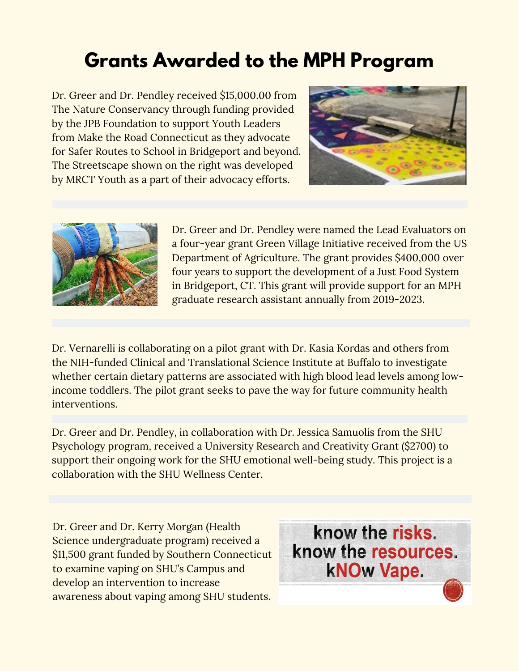### **Grants Awarded to the MPH Program**

 Dr. Greer and Dr. Pendley received \$[15,000.00](https://15,000.00) from The Nature Conservancy through funding provided by the JPB Foundation to support Youth Leaders from Make the Road Connecticut as they advocate for Safer Routes to School in Bridgeport and beyond. The Streetscape shown on the right was developed by MRCT Youth as a part of their advocacy efforts.





 Dr. Greer and Dr. Pendley were named the Lead Evaluators on a four-year grant Green Village Initiative received from the US Department of Agriculture. The grant provides \$400,000 over four years to support the development of a Just Food System in Bridgeport, CT. This grant will provide support for an MPH graduate research assistant annually from 2019-2023.

 Dr. Vernarelli is collaborating on a pilot grant with Dr. Kasia Kordas and others from the NIH-funded Clinical and Translational Science Institute at Buffalo to investigate whether certain dietary patterns are associated with high blood lead levels among low- income toddlers. The pilot grant seeks to pave the way for future community health interventions.

 Dr. Greer and Dr. Pendley, in collaboration with Dr. Jessica Samuolis from the SHU Psychology program, received a University Research and Creativity Grant (\$2700) to support their ongoing work for the SHU emotional well-being study. This project is a collaboration with the SHU Wellness Center.

 Dr. Greer and Dr. Kerry Morgan (Health Science undergraduate program) received a \$11,500 grant funded by Southern Connecticut to examine vaping on SHU's Campus and develop an intervention to increase awareness about vaping among SHU students.

know the risks. know the resources. **kNOw Vape.**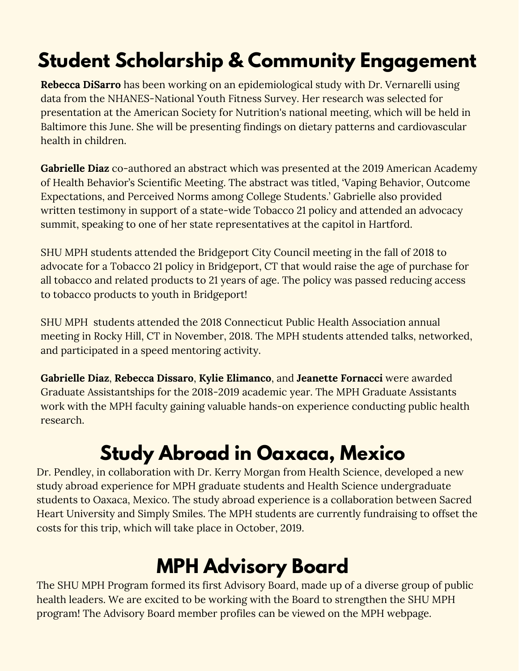### **Student Scholarship & Community Engagement**

 **Rebecca DiSarro** has been working on an epidemiological study with Dr. Vernarelli using  data from the NHANES-National Youth Fitness Survey. Her research was selected for presentation at the American Society for Nutrition's national meeting, which will be held in Baltimore this June. She will be presenting findings on dietary patterns and cardiovascular health in children.

 **Gabrielle Diaz** co-authored an abstract which was presented at the 2019 American Academy of Health Behavior's Scientific Meeting. The abstract was titled, 'Vaping Behavior, Outcome Expectations, and Perceived Norms among College Students.' Gabrielle also provided written testimony in support of a state-wide Tobacco 21 policy and attended an advocacy summit, speaking to one of her state representatives at the capitol in Hartford.

 SHU MPH students attended the Bridgeport City Council meeting in the fall of 2018 to advocate for a Tobacco 21 policy in Bridgeport, CT that would raise the age of purchase for all tobacco and related products to 21 years of age. The policy was passed reducing access to tobacco products to youth in Bridgeport!

 SHU MPH students attended the 2018 Connecticut Public Health Association annual meeting in Rocky Hill, CT in November, 2018. The MPH students attended talks, networked, and participated in a speed mentoring activity.

 **Gabrielle Diaz**, **Rebecca Dissaro**, **Kylie Elimanco**, and **Jeanette Fornacci** were awarded Graduate Assistantships for the 2018-2019 academic year. The MPH Graduate Assistants work with the MPH faculty gaining valuable hands-on experience conducting public health research.

### **Study Abroad in Oaxaca, Mexico**

 Dr. Pendley, in collaboration with Dr. Kerry Morgan from Health Science, developed a new study abroad experience for MPH graduate students and Health Science [undergraduate](https://www.simplysmiles.org/childrens-home-oaxaca) students to Oaxaca, Mexico. The study abroad experience is a collaboration between Sacred Heart University and Simply Smiles. The MPH students are currently fundraising to offset the costs for this trip, which will take place in October, 2019.

### **MPH Advisory Board**

 The SHU MPH Program formed its first Advisory Board, made up of a diverse group of public health leaders. We are excited to be working with the Board to [strengthen](https://www.sacredheart.edu/academics/collegeofhealthprofessions/academicprograms/publichealth/advisoryboard/) the SHU MPH program! The Advisory Board member profiles can be viewed on the MPH webpage.